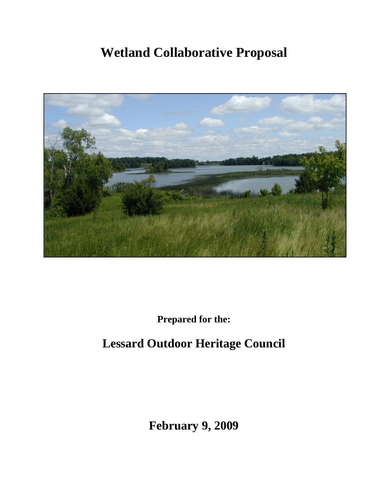# **Wetland Collaborative Proposal**



**Prepared for the:** 

## **Lessard Outdoor Heritage Council**

**February 9, 2009**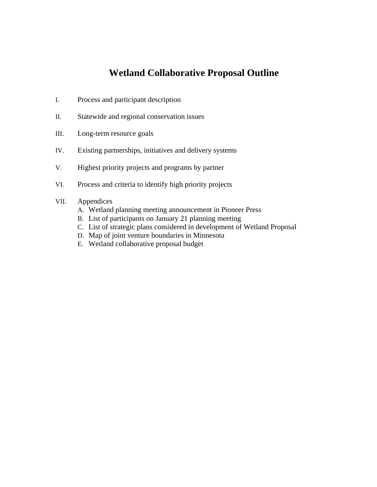## **Wetland Collaborative Proposal Outline**

- I. Process and participant description
- II. Statewide and regional conservation issues
- III. Long-term resource goals
- IV. Existing partnerships, initiatives and delivery systems
- V. Highest priority projects and programs by partner
- VI. Process and criteria to identify high priority projects

#### VII. Appendices

- A. Wetland planning meeting announcement in Pioneer Press
- B. List of participants on January 21 planning meeting
- C. List of strategic plans considered in development of Wetland Proposal
- D. Map of joint venture boundaries in Minnesota
- E. Wetland collaborative proposal budget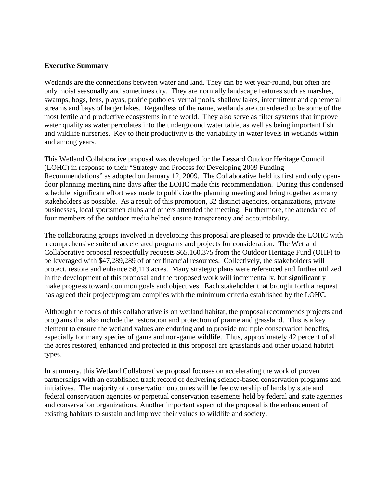#### **Executive Summary**

Wetlands are the connections between water and land. They can be wet year-round, but often are only moist seasonally and sometimes dry. They are normally landscape features such as marshes, swamps, bogs, fens, playas, prairie potholes, vernal pools, shallow lakes, intermittent and ephemeral streams and bays of larger lakes. Regardless of the name, wetlands are considered to be some of the most fertile and productive ecosystems in the world. They also serve as filter systems that improve water quality as water percolates into the underground water table, as well as being important fish and wildlife nurseries. Key to their productivity is the variability in water levels in wetlands within and among years.

This Wetland Collaborative proposal was developed for the Lessard Outdoor Heritage Council (LOHC) in response to their "Strategy and Process for Developing 2009 Funding Recommendations" as adopted on January 12, 2009. The Collaborative held its first and only opendoor planning meeting nine days after the LOHC made this recommendation. During this condensed schedule, significant effort was made to publicize the planning meeting and bring together as many stakeholders as possible. As a result of this promotion, 32 distinct agencies, organizations, private businesses, local sportsmen clubs and others attended the meeting. Furthermore, the attendance of four members of the outdoor media helped ensure transparency and accountability.

The collaborating groups involved in developing this proposal are pleased to provide the LOHC with a comprehensive suite of accelerated programs and projects for consideration. The Wetland Collaborative proposal respectfully requests \$65,160,375 from the Outdoor Heritage Fund (OHF) to be leveraged with \$47,289,289 of other financial resources. Collectively, the stakeholders will protect, restore and enhance 58,113 acres. Many strategic plans were referenced and further utilized in the development of this proposal and the proposed work will incrementally, but significantly make progress toward common goals and objectives. Each stakeholder that brought forth a request has agreed their project/program complies with the minimum criteria established by the LOHC.

Although the focus of this collaborative is on wetland habitat, the proposal recommends projects and programs that also include the restoration and protection of prairie and grassland. This is a key element to ensure the wetland values are enduring and to provide multiple conservation benefits, especially for many species of game and non-game wildlife. Thus, approximately 42 percent of all the acres restored, enhanced and protected in this proposal are grasslands and other upland habitat types.

In summary, this Wetland Collaborative proposal focuses on accelerating the work of proven partnerships with an established track record of delivering science-based conservation programs and initiatives. The majority of conservation outcomes will be fee ownership of lands by state and federal conservation agencies or perpetual conservation easements held by federal and state agencies and conservation organizations. Another important aspect of the proposal is the enhancement of existing habitats to sustain and improve their values to wildlife and society.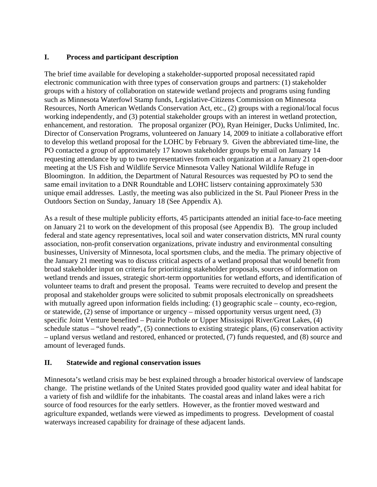#### **I. Process and participant description**

The brief time available for developing a stakeholder-supported proposal necessitated rapid electronic communication with three types of conservation groups and partners: (1) stakeholder groups with a history of collaboration on statewide wetland projects and programs using funding such as Minnesota Waterfowl Stamp funds, Legislative-Citizens Commission on Minnesota Resources, North American Wetlands Conservation Act, etc., (2) groups with a regional/local focus working independently, and (3) potential stakeholder groups with an interest in wetland protection, enhancement, and restoration. The proposal organizer (PO), Ryan Heiniger, Ducks Unlimited, Inc. Director of Conservation Programs, volunteered on January 14, 2009 to initiate a collaborative effort to develop this wetland proposal for the LOHC by February 9. Given the abbreviated time-line, the PO contacted a group of approximately 17 known stakeholder groups by email on January 14 requesting attendance by up to two representatives from each organization at a January 21 open-door meeting at the US Fish and Wildlife Service Minnesota Valley National Wildlife Refuge in Bloomington. In addition, the Department of Natural Resources was requested by PO to send the same email invitation to a DNR Roundtable and LOHC listserv containing approximately 530 unique email addresses. Lastly, the meeting was also publicized in the St. Paul Pioneer Press in the Outdoors Section on Sunday, January 18 (See Appendix A).

As a result of these multiple publicity efforts, 45 participants attended an initial face-to-face meeting on January 21 to work on the development of this proposal (see Appendix B). The group included federal and state agency representatives, local soil and water conservation districts, MN rural county association, non-profit conservation organizations, private industry and environmental consulting businesses, University of Minnesota, local sportsmen clubs, and the media. The primary objective of the January 21 meeting was to discuss critical aspects of a wetland proposal that would benefit from broad stakeholder input on criteria for prioritizing stakeholder proposals, sources of information on wetland trends and issues, strategic short-term opportunities for wetland efforts, and identification of volunteer teams to draft and present the proposal. Teams were recruited to develop and present the proposal and stakeholder groups were solicited to submit proposals electronically on spreadsheets with mutually agreed upon information fields including: (1) geographic scale – county, eco-region, or statewide, (2) sense of importance or urgency – missed opportunity versus urgent need, (3) specific Joint Venture benefited – Prairie Pothole or Upper Mississippi River/Great Lakes, (4) schedule status – "shovel ready", (5) connections to existing strategic plans, (6) conservation activity – upland versus wetland and restored, enhanced or protected, (7) funds requested, and (8) source and amount of leveraged funds.

#### **II. Statewide and regional conservation issues**

Minnesota's wetland crisis may be best explained through a broader historical overview of landscape change. The pristine wetlands of the United States provided good quality water and ideal habitat for a variety of fish and wildlife for the inhabitants. The coastal areas and inland lakes were a rich source of food resources for the early settlers. However, as the frontier moved westward and agriculture expanded, wetlands were viewed as impediments to progress. Development of coastal waterways increased capability for drainage of these adjacent lands.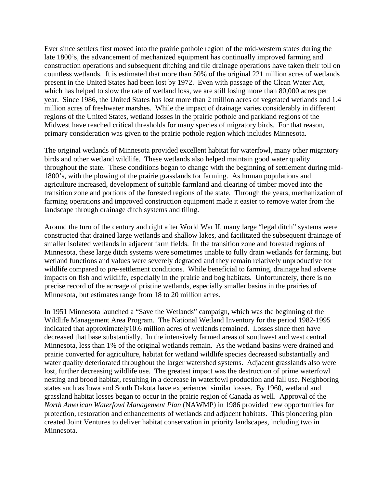Ever since settlers first moved into the prairie pothole region of the mid-western states during the late 1800's, the advancement of mechanized equipment has continually improved farming and construction operations and subsequent ditching and tile drainage operations have taken their toll on countless wetlands. It is estimated that more than 50% of the original 221 million acres of wetlands present in the United States had been lost by 1972. Even with passage of the Clean Water Act, which has helped to slow the rate of wetland loss, we are still losing more than 80,000 acres per year. Since 1986, the United States has lost more than 2 million acres of vegetated wetlands and 1.4 million acres of freshwater marshes. While the impact of drainage varies considerably in different regions of the United States, wetland losses in the prairie pothole and parkland regions of the Midwest have reached critical thresholds for many species of migratory birds. For that reason, primary consideration was given to the prairie pothole region which includes Minnesota.

The original wetlands of Minnesota provided excellent habitat for waterfowl, many other migratory birds and other wetland wildlife. These wetlands also helped maintain good water quality throughout the state. These conditions began to change with the beginning of settlement during mid-1800's, with the plowing of the prairie grasslands for farming. As human populations and agriculture increased, development of suitable farmland and clearing of timber moved into the transition zone and portions of the forested regions of the state. Through the years, mechanization of farming operations and improved construction equipment made it easier to remove water from the landscape through drainage ditch systems and tiling.

Around the turn of the century and right after World War II, many large "legal ditch" systems were constructed that drained large wetlands and shallow lakes, and facilitated the subsequent drainage of smaller isolated wetlands in adjacent farm fields. In the transition zone and forested regions of Minnesota, these large ditch systems were sometimes unable to fully drain wetlands for farming, but wetland functions and values were severely degraded and they remain relatively unproductive for wildlife compared to pre-settlement conditions. While beneficial to farming, drainage had adverse impacts on fish and wildlife, especially in the prairie and bog habitats. Unfortunately, there is no precise record of the acreage of pristine wetlands, especially smaller basins in the prairies of Minnesota, but estimates range from 18 to 20 million acres.

In 1951 Minnesota launched a "Save the Wetlands" campaign, which was the beginning of the Wildlife Management Area Program. The National Wetland Inventory for the period 1982-1995 indicated that approximately10.6 million acres of wetlands remained. Losses since then have decreased that base substantially. In the intensively farmed areas of southwest and west central Minnesota, less than 1% of the original wetlands remain. As the wetland basins were drained and prairie converted for agriculture, habitat for wetland wildlife species decreased substantially and water quality deteriorated throughout the larger watershed systems. Adjacent grasslands also were lost, further decreasing wildlife use. The greatest impact was the destruction of prime waterfowl nesting and brood habitat, resulting in a decrease in waterfowl production and fall use. Neighboring states such as Iowa and South Dakota have experienced similar losses. By 1960, wetland and grassland habitat losses began to occur in the prairie region of Canada as well. Approval of the *North American Waterfowl Management Plan* (NAWMP) in 1986 provided new opportunities for protection, restoration and enhancements of wetlands and adjacent habitats. This pioneering plan created Joint Ventures to deliver habitat conservation in priority landscapes, including two in Minnesota.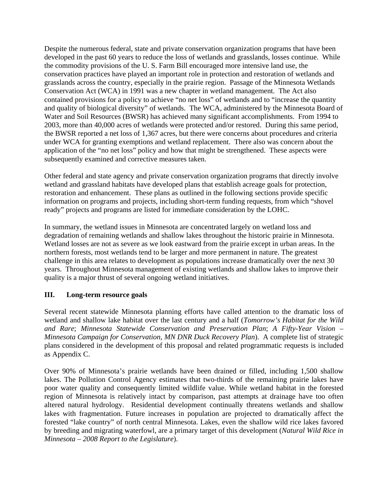Despite the numerous federal, state and private conservation organization programs that have been developed in the past 60 years to reduce the loss of wetlands and grasslands, losses continue. While the commodity provisions of the U. S. Farm Bill encouraged more intensive land use, the conservation practices have played an important role in protection and restoration of wetlands and grasslands across the country, especially in the prairie region. Passage of the Minnesota Wetlands Conservation Act (WCA) in 1991 was a new chapter in wetland management. The Act also contained provisions for a policy to achieve "no net loss" of wetlands and to "increase the quantity and quality of biological diversity" of wetlands. The WCA, administered by the Minnesota Board of Water and Soil Resources (BWSR) has achieved many significant accomplishments. From 1994 to 2003, more than 40,000 acres of wetlands were protected and/or restored. During this same period, the BWSR reported a net loss of 1,367 acres, but there were concerns about procedures and criteria under WCA for granting exemptions and wetland replacement. There also was concern about the application of the "no net loss" policy and how that might be strengthened. These aspects were subsequently examined and corrective measures taken.

Other federal and state agency and private conservation organization programs that directly involve wetland and grassland habitats have developed plans that establish acreage goals for protection, restoration and enhancement. These plans as outlined in the following sections provide specific information on programs and projects, including short-term funding requests, from which "shovel ready" projects and programs are listed for immediate consideration by the LOHC.

In summary, the wetland issues in Minnesota are concentrated largely on wetland loss and degradation of remaining wetlands and shallow lakes throughout the historic prairie in Minnesota. Wetland losses are not as severe as we look eastward from the prairie except in urban areas. In the northern forests, most wetlands tend to be larger and more permanent in nature. The greatest challenge in this area relates to development as populations increase dramatically over the next 30 years. Throughout Minnesota management of existing wetlands and shallow lakes to improve their quality is a major thrust of several ongoing wetland initiatives.

#### **III. Long-term resource goals**

Several recent statewide Minnesota planning efforts have called attention to the dramatic loss of wetland and shallow lake habitat over the last century and a half (*Tomorrow's Habitat for the Wild and Rare*; *Minnesota Statewide Conservation and Preservation Plan*; *A Fifty-Year Vision – Minnesota Campaign for Conservation, MN DNR Duck Recovery Plan*). A complete list of strategic plans considered in the development of this proposal and related programmatic requests is included as Appendix C.

Over 90% of Minnesota's prairie wetlands have been drained or filled, including 1,500 shallow lakes. The Pollution Control Agency estimates that two-thirds of the remaining prairie lakes have poor water quality and consequently limited wildlife value. While wetland habitat in the forested region of Minnesota is relatively intact by comparison, past attempts at drainage have too often altered natural hydrology. Residential development continually threatens wetlands and shallow lakes with fragmentation. Future increases in population are projected to dramatically affect the forested "lake country" of north central Minnesota. Lakes, even the shallow wild rice lakes favored by breeding and migrating waterfowl, are a primary target of this development (*Natural Wild Rice in Minnesota – 2008 Report to the Legislature*).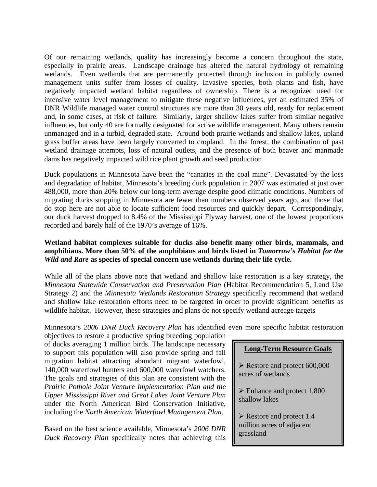Of our remaining wetlands, quality has increasingly become a concern throughout the state, especially in prairie areas. Landscape drainage has altered the natural hydrology of remaining wetlands. Even wetlands that are permanently protected through inclusion in publicly owned management units suffer from losses of quality. Invasive species, both plants and fish, have negatively impacted wetland habitat regardless of ownership. There is a recognized need for intensive water level management to mitigate these negative influences, yet an estimated 35% of DNR Wildlife managed water control structures are more than 30 years old, ready for replacement and, in some cases, at risk of failure. Similarly, larger shallow lakes suffer from similar negative influences, but only 40 are formally designated for active wildlife management. Many others remain unmanaged and in a turbid, degraded state. Around both prairie wetlands and shallow lakes, upland grass buffer areas have been largely converted to cropland. In the forest, the combination of past wetland drainage attempts, loss of natural outlets, and the presence of both beaver and manmade dams has negatively impacted wild rice plant growth and seed production

Duck populations in Minnesota have been the "canaries in the coal mine". Devastated by the loss and degradation of habitat, Minnesota's breeding duck population in 2007 was estimated at just over 488,000, more than 20% below our long-term average despite good climatic conditions. Numbers of migrating ducks stopping in Minnesota are fewer than numbers observed years ago, and those that do stop here are not able to locate sufficient food resources and quickly depart. Correspondingly, our duck harvest dropped to 8.4% of the Mississippi Flyway harvest, one of the lowest proportions recorded and barely half of the 1970's average of 16%.

#### **Wetland habitat complexes suitable for ducks also benefit many other birds, mammals, and amphibians. More than 50% of the amphibians and birds listed in** *Tomorrow's Habitat for the Wild and Rare* **as species of special concern use wetlands during their life cycle.**

While all of the plans above note that wetland and shallow lake restoration is a key strategy, the *Minnesota Statewide Conservation and Preservation Plan* (Habitat Recommendation 5, Land Use Strategy 2) and the *Minnesota Wetlands Restoration Strategy* specifically recommend that wetland and shallow lake restoration efforts need to be targeted in order to provide significant benefits as wildlife habitat. However, these strategies and plans do not specify wetland acreage targets

Minnesota's *2006 DNR Duck Recovery Plan* has identified even more specific habitat restoration

objectives to restore a productive spring breeding population of ducks averaging 1 million birds. The landscape necessary to support this population will also provide spring and fall migration habitat attracting abundant migrant waterfowl, 140,000 waterfowl hunters and 600,000 waterfowl watchers. The goals and strategies of this plan are consistent with the *Prairie Pothole Joint Venture Implementation Plan and the Upper Mississippi River and Great Lakes Joint Venture Plan*  under the North American Bird Conservation Initiative, including the *North American Waterfowl Management Plan*.

Based on the best science available, Minnesota's *2006 DNR Duck Recovery Plan* specifically notes that achieving this

#### **Long-Term Resource Goals**

¾ Restore and protect 600,000 acres of wetlands

 $\triangleright$  Enhance and protect 1,800 shallow lakes

 $\triangleright$  Restore and protect 1.4 million acres of adjacent grassland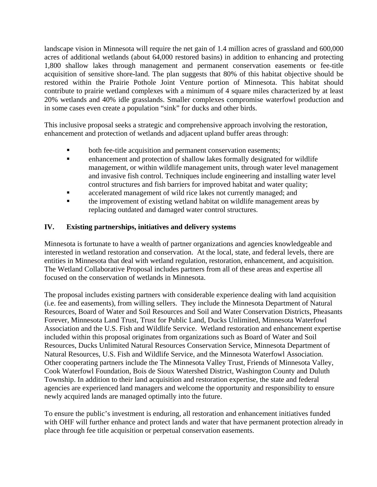landscape vision in Minnesota will require the net gain of 1.4 million acres of grassland and 600,000 acres of additional wetlands (about 64,000 restored basins) in addition to enhancing and protecting 1,800 shallow lakes through management and permanent conservation easements or fee-title acquisition of sensitive shore-land. The plan suggests that 80% of this habitat objective should be restored within the Prairie Pothole Joint Venture portion of Minnesota. This habitat should contribute to prairie wetland complexes with a minimum of 4 square miles characterized by at least 20% wetlands and 40% idle grasslands. Smaller complexes compromise waterfowl production and in some cases even create a population "sink" for ducks and other birds.

This inclusive proposal seeks a strategic and comprehensive approach involving the restoration, enhancement and protection of wetlands and adjacent upland buffer areas through:

- both fee-title acquisition and permanent conservation easements;
- enhancement and protection of shallow lakes formally designated for wildlife management, or within wildlife management units, through water level management and invasive fish control. Techniques include engineering and installing water level control structures and fish barriers for improved habitat and water quality;
- **Example 2** accelerated management of wild rice lakes not currently managed; and
- the improvement of existing wetland habitat on wildlife management areas by replacing outdated and damaged water control structures.

#### **IV. Existing partnerships, initiatives and delivery systems**

Minnesota is fortunate to have a wealth of partner organizations and agencies knowledgeable and interested in wetland restoration and conservation. At the local, state, and federal levels, there are entities in Minnesota that deal with wetland regulation, restoration, enhancement, and acquisition. The Wetland Collaborative Proposal includes partners from all of these areas and expertise all focused on the conservation of wetlands in Minnesota.

The proposal includes existing partners with considerable experience dealing with land acquisition (i.e. fee and easements), from willing sellers. They include the Minnesota Department of Natural Resources, Board of Water and Soil Resources and Soil and Water Conservation Districts, Pheasants Forever, Minnesota Land Trust, Trust for Public Land, Ducks Unlimited, Minnesota Waterfowl Association and the U.S. Fish and Wildlife Service. Wetland restoration and enhancement expertise included within this proposal originates from organizations such as Board of Water and Soil Resources, Ducks Unlimited Natural Resources Conservation Service, Minnesota Department of Natural Resources, U.S. Fish and Wildlife Service, and the Minnesota Waterfowl Association. Other cooperating partners include the The Minnesota Valley Trust, Friends of Minnesota Valley, Cook Waterfowl Foundation, Bois de Sioux Watershed District, Washington County and Duluth Township. In addition to their land acquisition and restoration expertise, the state and federal agencies are experienced land managers and welcome the opportunity and responsibility to ensure newly acquired lands are managed optimally into the future.

To ensure the public's investment is enduring, all restoration and enhancement initiatives funded with OHF will further enhance and protect lands and water that have permanent protection already in place through fee title acquisition or perpetual conservation easements.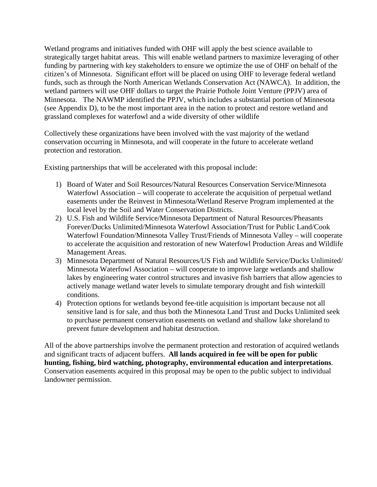Wetland programs and initiatives funded with OHF will apply the best science available to strategically target habitat areas. This will enable wetland partners to maximize leveraging of other funding by partnering with key stakeholders to ensure we optimize the use of OHF on behalf of the citizen's of Minnesota. Significant effort will be placed on using OHF to leverage federal wetland funds, such as through the North American Wetlands Conservation Act (NAWCA). In addition, the wetland partners will use OHF dollars to target the Prairie Pothole Joint Venture (PPJV) area of Minnesota. The NAWMP identified the PPJV, which includes a substantial portion of Minnesota (see Appendix D), to be the most important area in the nation to protect and restore wetland and grassland complexes for waterfowl and a wide diversity of other wildlife

Collectively these organizations have been involved with the vast majority of the wetland conservation occurring in Minnesota, and will cooperate in the future to accelerate wetland protection and restoration.

Existing partnerships that will be accelerated with this proposal include:

- 1) Board of Water and Soil Resources/Natural Resources Conservation Service/Minnesota Waterfowl Association – will cooperate to accelerate the acquisition of perpetual wetland easements under the Reinvest in Minnesota/Wetland Reserve Program implemented at the local level by the Soil and Water Conservation Districts.
- 2) U.S. Fish and Wildlife Service/Minnesota Department of Natural Resources/Pheasants Forever/Ducks Unlimited/Minnesota Waterfowl Association/Trust for Public Land/Cook Waterfowl Foundation/Minnesota Valley Trust/Friends of Minnesota Valley – will cooperate to accelerate the acquisition and restoration of new Waterfowl Production Areas and Wildlife Management Areas.
- 3) Minnesota Department of Natural Resources/US Fish and Wildlife Service/Ducks Unlimited/ Minnesota Waterfowl Association – will cooperate to improve large wetlands and shallow lakes by engineering water control structures and invasive fish barriers that allow agencies to actively manage wetland water levels to simulate temporary drought and fish winterkill conditions.
- 4) Protection options for wetlands beyond fee-title acquisition is important because not all sensitive land is for sale, and thus both the Minnesota Land Trust and Ducks Unlimited seek to purchase permanent conservation easements on wetland and shallow lake shoreland to prevent future development and habitat destruction.

All of the above partnerships involve the permanent protection and restoration of acquired wetlands and significant tracts of adjacent buffers. **All lands acquired in fee will be open for public hunting, fishing, bird watching, photography, environmental education and interpretations**. Conservation easements acquired in this proposal may be open to the public subject to individual landowner permission.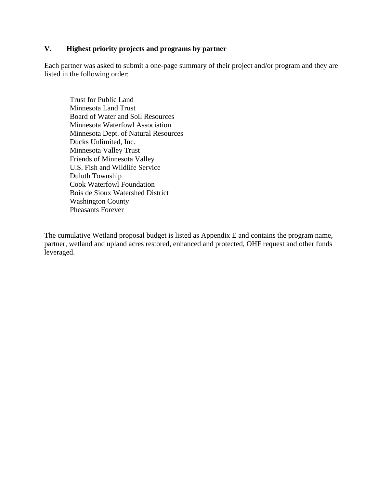#### **V. Highest priority projects and programs by partner**

Each partner was asked to submit a one-page summary of their project and/or program and they are listed in the following order:

Trust for Public Land Minnesota Land Trust Board of Water and Soil Resources Minnesota Waterfowl Association Minnesota Dept. of Natural Resources Ducks Unlimited, Inc. Minnesota Valley Trust Friends of Minnesota Valley U.S. Fish and Wildlife Service Duluth Township Cook Waterfowl Foundation Bois de Sioux Watershed District Washington County Pheasants Forever

The cumulative Wetland proposal budget is listed as Appendix E and contains the program name, partner, wetland and upland acres restored, enhanced and protected, OHF request and other funds leveraged.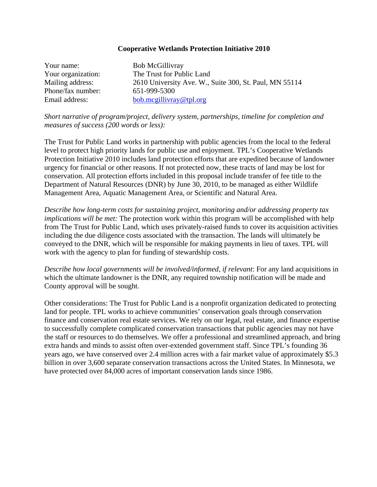#### **Cooperative Wetlands Protection Initiative 2010**

| Your name:         | <b>Bob McGillivray</b>                                 |
|--------------------|--------------------------------------------------------|
| Your organization: | The Trust for Public Land                              |
| Mailing address:   | 2610 University Ave. W., Suite 300, St. Paul, MN 55114 |
| Phone/fax number:  | 651-999-5300                                           |
| Email address:     | bob.mcgillivray@tpl.org                                |

*Short narrative of program/project, delivery system, partnerships, timeline for completion and measures of success (200 words or less):* 

The Trust for Public Land works in partnership with public agencies from the local to the federal level to protect high priority lands for public use and enjoyment. TPL's Cooperative Wetlands Protection Initiative 2010 includes land protection efforts that are expedited because of landowner urgency for financial or other reasons. If not protected now, these tracts of land may be lost for conservation. All protection efforts included in this proposal include transfer of fee title to the Department of Natural Resources (DNR) by June 30, 2010, to be managed as either Wildlife Management Area, Aquatic Management Area, or Scientific and Natural Area.

*Describe how long-term costs for sustaining project, monitoring and/or addressing property tax implications will be met:* The protection work within this program will be accomplished with help from The Trust for Public Land, which uses privately-raised funds to cover its acquisition activities including the due diligence costs associated with the transaction. The lands will ultimately be conveyed to the DNR, which will be responsible for making payments in lieu of taxes. TPL will work with the agency to plan for funding of stewardship costs.

*Describe how local governments will be involved/informed, if relevant*: For any land acquisitions in which the ultimate landowner is the DNR, any required township notification will be made and County approval will be sought.

Other considerations: The Trust for Public Land is a nonprofit organization dedicated to protecting land for people. TPL works to achieve communities' conservation goals through conservation finance and conservation real estate services. We rely on our legal, real estate, and finance expertise to successfully complete complicated conservation transactions that public agencies may not have the staff or resources to do themselves. We offer a professional and streamlined approach, and bring extra hands and minds to assist often over-extended government staff. Since TPL's founding 36 years ago, we have conserved over 2.4 million acres with a fair market value of approximately \$5.3 billion in over 3,600 separate conservation transactions across the United States. In Minnesota, we have protected over 84,000 acres of important conservation lands since 1986.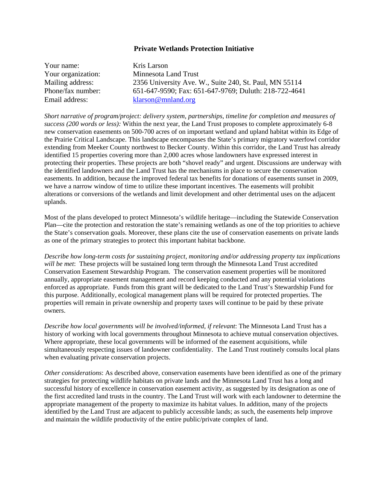#### **Private Wetlands Protection Initiative**

| Your name:         | Kris Larson                                            |
|--------------------|--------------------------------------------------------|
| Your organization: | Minnesota Land Trust                                   |
| Mailing address:   | 2356 University Ave. W., Suite 240, St. Paul, MN 55114 |
| Phone/fax number:  | 651-647-9590; Fax: 651-647-9769; Duluth: 218-722-4641  |
| Email address:     | klarson@mnland.org                                     |

*Short narrative of program/project: delivery system, partnerships, timeline for completion and measures of success (200 words or less):* Within the next year, the Land Trust proposes to complete approximately 6-8 new conservation easements on 500-700 acres of on important wetland and upland habitat within its Edge of the Prairie Critical Landscape. This landscape encompasses the State's primary migratory waterfowl corridor extending from Meeker County northwest to Becker County. Within this corridor, the Land Trust has already identified 15 properties covering more than 2,000 acres whose landowners have expressed interest in protecting their properties. These projects are both "shovel ready" and urgent. Discussions are underway with the identified landowners and the Land Trust has the mechanisms in place to secure the conservation easements. In addition, because the improved federal tax benefits for donations of easements sunset in 2009, we have a narrow window of time to utilize these important incentives. The easements will prohibit alterations or conversions of the wetlands and limit development and other detrimental uses on the adjacent uplands.

Most of the plans developed to protect Minnesota's wildlife heritage—including the Statewide Conservation Plan—cite the protection and restoration the state's remaining wetlands as one of the top priorities to achieve the State's conservation goals. Moreover, these plans cite the use of conservation easements on private lands as one of the primary strategies to protect this important habitat backbone.

*Describe how long-term costs for sustaining project, monitoring and/or addressing property tax implications will be met*: These projects will be sustained long term through the Minnesota Land Trust accredited Conservation Easement Stewardship Program. The conservation easement properties will be monitored annually, appropriate easement management and record keeping conducted and any potential violations enforced as appropriate. Funds from this grant will be dedicated to the Land Trust's Stewardship Fund for this purpose. Additionally, ecological management plans will be required for protected properties. The properties will remain in private ownership and property taxes will continue to be paid by these private owners.

*Describe how local governments will be involved/informed, if relevant*: The Minnesota Land Trust has a history of working with local governments throughout Minnesota to achieve mutual conservation objectives. Where appropriate, these local governments will be informed of the easement acquisitions, while simultaneously respecting issues of landowner confidentiality. The Land Trust routinely consults local plans when evaluating private conservation projects.

*Other considerations*: As described above, conservation easements have been identified as one of the primary strategies for protecting wildlife habitats on private lands and the Minnesota Land Trust has a long and successful history of excellence in conservation easement activity, as suggested by its designation as one of the first accredited land trusts in the country. The Land Trust will work with each landowner to determine the appropriate management of the property to maximize its habitat values. In addition, many of the projects identified by the Land Trust are adjacent to publicly accessible lands; as such, the easements help improve and maintain the wildlife productivity of the entire public/private complex of land.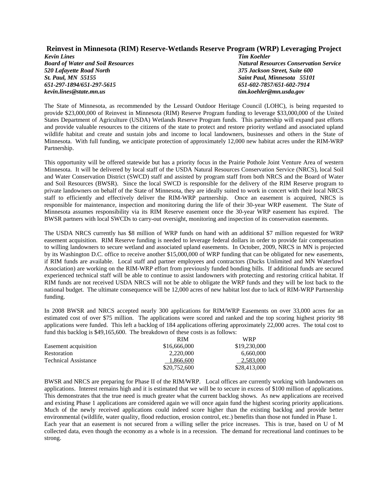#### **Reinvest in Minnesota (RIM) Reserve-Wetlands Reserve Program (WRP) Leveraging Project**

*Kevin Lines Tim Koehler 520 Lafayette Road North 375 Jackson Street, Suite 600 St. Paul, MN 55155 Saint Paul, Minnesota 55101 651-297-1894/651-297-5615 651-602-7857/651-602-7914 kevin.lines@state.mn.us tim.koehler@mn.usda.gov* 

*Board of Water and Soil Resources*  $\qquad \qquad$   $Natural$  *Resources Conservation Service* 

The State of Minnesota, as recommended by the Lessard Outdoor Heritage Council (LOHC), is being requested to provide \$23,000,000 of Reinvest in Minnesota (RIM) Reserve Program funding to leverage \$33,000,000 of the United States Department of Agriculture (USDA) Wetlands Reserve Program funds. This partnership will expand past efforts and provide valuable resources to the citizens of the state to protect and restore priority wetland and associated upland wildlife habitat and create and sustain jobs and income to local landowners, businesses and others in the State of Minnesota. With full funding, we anticipate protection of approximately 12,000 new habitat acres under the RIM-WRP Partnership.

This opportunity will be offered statewide but has a priority focus in the Prairie Pothole Joint Venture Area of western Minnesota. It will be delivered by local staff of the USDA Natural Resources Conservation Service (NRCS), local Soil and Water Conservation District (SWCD) staff and assisted by program staff from both NRCS and the Board of Water and Soil Resources (BWSR). Since the local SWCD is responsible for the delivery of the RIM Reserve program to private landowners on behalf of the State of Minnesota, they are ideally suited to work in concert with their local NRCS staff to efficiently and effectively deliver the RIM-WRP partnership. Once an easement is acquired, NRCS is responsible for maintenance, inspection and monitoring during the life of their 30-year WRP easement. The State of Minnesota assumes responsibility via its RIM Reserve easement once the 30-year WRP easement has expired. The BWSR partners with local SWCDs to carry-out oversight, monitoring and inspection of its conservation easements.

The USDA NRCS currently has \$8 million of WRP funds on hand with an additional \$7 million requested for WRP easement acquisition. RIM Reserve funding is needed to leverage federal dollars in order to provide fair compensation to willing landowners to secure wetland and associated upland easements. In October, 2009, NRCS in MN is projected by its Washington D.C. office to receive another \$15,000,000 of WRP funding that can be obligated for new easements, if RIM funds are available. Local staff and partner employees and contractors (Ducks Unlimited and MN Waterfowl Association) are working on the RIM-WRP effort from previously funded bonding bills. If additional funds are secured experienced technical staff will be able to continue to assist landowners with protecting and restoring critical habitat. If RIM funds are not received USDA NRCS will not be able to obligate the WRP funds and they will be lost back to the national budget. The ultimate consequence will be 12,000 acres of new habitat lost due to lack of RIM-WRP Partnership funding.

In 2008 BWSR and NRCS accepted nearly 300 applications for RIM/WRP Easements on over 33,000 acres for an estimated cost of over \$75 million. The applications were scored and ranked and the top scoring highest priority 98 applications were funded. This left a backlog of 184 applications offering approximately 22,000 acres. The total cost to fund this backlog is \$49,165,600. The breakdown of these costs is as follows:

|                      | <b>RIM</b>   | <b>WRP</b>   |
|----------------------|--------------|--------------|
| Easement acquisition | \$16,666,000 | \$19,230,000 |
| Restoration          | 2.220.000    | 6.660,000    |
| Technical Assistance | 1,866,600    | 2,583,000    |
|                      | \$20,752,600 | \$28,413,000 |

BWSR and NRCS are preparing for Phase II of the RIM/WRP. Local offices are currently working with landowners on applications. Interest remains high and it is estimated that we will be to secure in excess of \$100 million of applications. This demonstrates that the true need is much greater what the current backlog shows. As new applications are received and existing Phase 1 applications are considered again we will once again fund the highest scoring priority applications. Much of the newly received applications could indeed score higher than the existing backlog and provide better environmental (wildlife, water quality, flood reduction, erosion control, etc.) benefits than those not funded in Phase 1. Each year that an easement is not secured from a willing seller the price increases. This is true, based on U of M collected data, even though the economy as a whole is in a recession. The demand for recreational land continues to be strong.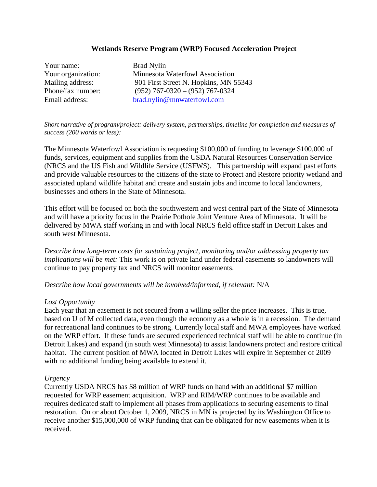#### **Wetlands Reserve Program (WRP) Focused Acceleration Project**

Your name: Brad Nylin

Your organization: Minnesota Waterfowl Association Mailing address: 901 First Street N. Hopkins, MN 55343 Phone/fax number: (952) 767-0320 – (952) 767-0324 Email address: brad.nylin@mnwaterfowl.com

*Short narrative of program/project: delivery system, partnerships, timeline for completion and measures of success (200 words or less):*

The Minnesota Waterfowl Association is requesting \$100,000 of funding to leverage \$100,000 of funds, services, equipment and supplies from the USDA Natural Resources Conservation Service (NRCS and the US Fish and Wildlife Service (USFWS). This partnership will expand past efforts and provide valuable resources to the citizens of the state to Protect and Restore priority wetland and associated upland wildlife habitat and create and sustain jobs and income to local landowners, businesses and others in the State of Minnesota.

This effort will be focused on both the southwestern and west central part of the State of Minnesota and will have a priority focus in the Prairie Pothole Joint Venture Area of Minnesota. It will be delivered by MWA staff working in and with local NRCS field office staff in Detroit Lakes and south west Minnesota.

*Describe how long-term costs for sustaining project, monitoring and/or addressing property tax implications will be met:* This work is on private land under federal easements so landowners will continue to pay property tax and NRCS will monitor easements.

*Describe how local governments will be involved/informed, if relevant:* N/A

#### *Lost Opportunity*

Each year that an easement is not secured from a willing seller the price increases. This is true, based on U of M collected data, even though the economy as a whole is in a recession. The demand for recreational land continues to be strong. Currently local staff and MWA employees have worked on the WRP effort. If these funds are secured experienced technical staff will be able to continue (in Detroit Lakes) and expand (in south west Minnesota) to assist landowners protect and restore critical habitat. The current position of MWA located in Detroit Lakes will expire in September of 2009 with no additional funding being available to extend it.

#### *Urgency*

Currently USDA NRCS has \$8 million of WRP funds on hand with an additional \$7 million requested for WRP easement acquisition. WRP and RIM/WRP continues to be available and requires dedicated staff to implement all phases from applications to securing easements to final restoration. On or about October 1, 2009, NRCS in MN is projected by its Washington Office to receive another \$15,000,000 of WRP funding that can be obligated for new easements when it is received.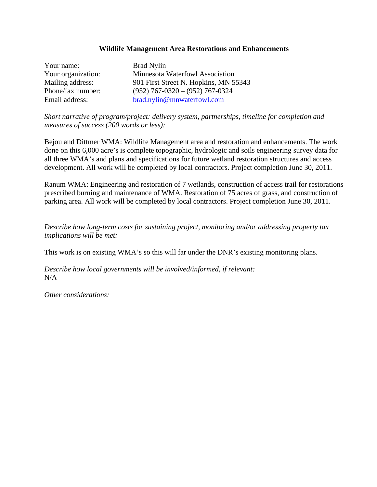#### **Wildlife Management Area Restorations and Enhancements**

Your name: Brad Nylin Your organization: Minnesota Waterfowl Association Mailing address: 901 First Street N. Hopkins, MN 55343 Phone/fax number: (952) 767-0320 – (952) 767-0324 Email address: brad.nylin@mnwaterfowl.com

*Short narrative of program/project: delivery system, partnerships, timeline for completion and measures of success (200 words or less):* 

Bejou and Dittmer WMA: Wildlife Management area and restoration and enhancements. The work done on this 6,000 acre's is complete topographic, hydrologic and soils engineering survey data for all three WMA's and plans and specifications for future wetland restoration structures and access development. All work will be completed by local contractors. Project completion June 30, 2011.

Ranum WMA: Engineering and restoration of 7 wetlands, construction of access trail for restorations prescribed burning and maintenance of WMA. Restoration of 75 acres of grass, and construction of parking area. All work will be completed by local contractors. Project completion June 30, 2011.

*Describe how long-term costs for sustaining project, monitoring and/or addressing property tax implications will be met:* 

This work is on existing WMA's so this will far under the DNR's existing monitoring plans.

*Describe how local governments will be involved/informed, if relevant:*  N/A

*Other considerations:*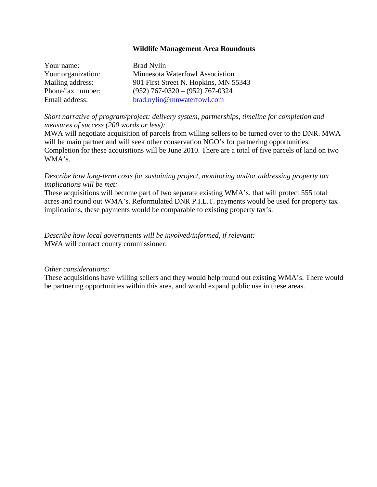#### **Wildlife Management Area Roundouts**

| Your name:         | <b>Brad Nylin</b>                     |
|--------------------|---------------------------------------|
| Your organization: | Minnesota Waterfowl Association       |
| Mailing address:   | 901 First Street N. Hopkins, MN 55343 |
| Phone/fax number:  | $(952)$ 767-0320 - $(952)$ 767-0324   |
| Email address:     | brad.nylin@mnwaterfowl.com            |

*Short narrative of program/project: delivery system, partnerships, timeline for completion and measures of success (200 words or less):* 

MWA will negotiate acquisition of parcels from willing sellers to be turned over to the DNR. MWA will be main partner and will seek other conservation NGO's for partnering opportunities. Completion for these acquisitions will be June 2010. There are a total of five parcels of land on two WMA's.

*Describe how long-term costs for sustaining project, monitoring and/or addressing property tax implications will be met:* 

These acquisitions will become part of two separate existing WMA's. that will protect 555 total acres and round out WMA's. Reformulated DNR P.I.L.T. payments would be used for property tax implications, these payments would be comparable to existing property tax's.

*Describe how local governments will be involved/informed, if relevant:*  MWA will contact county commissioner.

#### *Other considerations:*

These acquisitions have willing sellers and they would help round out existing WMA's. There would be partnering opportunities within this area, and would expand public use in these areas.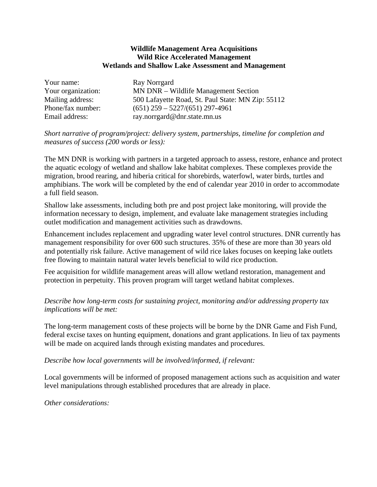#### **Wildlife Management Area Acquisitions Wild Rice Accelerated Management Wetlands and Shallow Lake Assessment and Management**

| Your name:         | Ray Norrgard                                      |
|--------------------|---------------------------------------------------|
| Your organization: | MN DNR – Wildlife Management Section              |
| Mailing address:   | 500 Lafayette Road, St. Paul State: MN Zip: 55112 |
| Phone/fax number:  | $(651)$ 259 - 5227/(651) 297-4961                 |
| Email address:     | ray.norrgard@dnr.state.mn.us                      |

#### *Short narrative of program/project: delivery system, partnerships, timeline for completion and measures of success (200 words or less):*

The MN DNR is working with partners in a targeted approach to assess, restore, enhance and protect the aquatic ecology of wetland and shallow lake habitat complexes. These complexes provide the migration, brood rearing, and hiberia critical for shorebirds, waterfowl, water birds, turtles and amphibians. The work will be completed by the end of calendar year 2010 in order to accommodate a full field season.

Shallow lake assessments, including both pre and post project lake monitoring, will provide the information necessary to design, implement, and evaluate lake management strategies including outlet modification and management activities such as drawdowns.

Enhancement includes replacement and upgrading water level control structures. DNR currently has management responsibility for over 600 such structures. 35% of these are more than 30 years old and potentially risk failure. Active management of wild rice lakes focuses on keeping lake outlets free flowing to maintain natural water levels beneficial to wild rice production.

Fee acquisition for wildlife management areas will allow wetland restoration, management and protection in perpetuity. This proven program will target wetland habitat complexes.

#### *Describe how long-term costs for sustaining project, monitoring and/or addressing property tax implications will be met:*

The long-term management costs of these projects will be borne by the DNR Game and Fish Fund, federal excise taxes on hunting equipment, donations and grant applications. In lieu of tax payments will be made on acquired lands through existing mandates and procedures.

#### *Describe how local governments will be involved/informed, if relevant:*

Local governments will be informed of proposed management actions such as acquisition and water level manipulations through established procedures that are already in place.

*Other considerations:*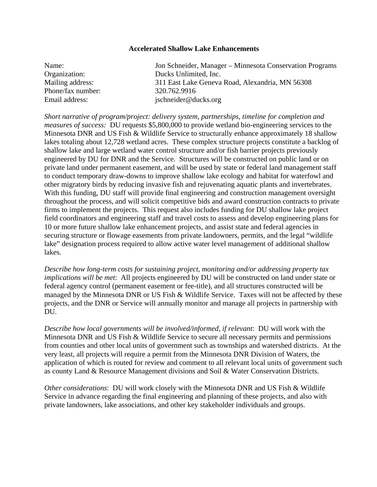#### **Accelerated Shallow Lake Enhancements**

| Name:             | Jon Schneider, Manager – Minnesota Conservation Programs |
|-------------------|----------------------------------------------------------|
| Organization:     | Ducks Unlimited, Inc.                                    |
| Mailing address:  | 311 East Lake Geneva Road, Alexandria, MN 56308          |
| Phone/fax number: | 320.762.9916                                             |
| Email address:    | jschneider@ducks.org                                     |

*Short narrative of program/project: delivery system, partnerships, timeline for completion and measures of success:* DU requests \$5,800,000 to provide wetland bio-engineering services to the Minnesota DNR and US Fish & Wildlife Service to structurally enhance approximately 18 shallow lakes totaling about 12,728 wetland acres. These complex structure projects constitute a backlog of shallow lake and large wetland water control structure and/or fish barrier projects previously engineered by DU for DNR and the Service. Structures will be constructed on public land or on private land under permanent easement, and will be used by state or federal land management staff to conduct temporary draw-downs to improve shallow lake ecology and habitat for waterfowl and other migratory birds by reducing invasive fish and rejuvenating aquatic plants and invertebrates. With this funding, DU staff will provide final engineering and construction management oversight throughout the process, and will solicit competitive bids and award construction contracts to private firms to implement the projects. This request also includes funding for DU shallow lake project field coordinators and engineering staff and travel costs to assess and develop engineering plans for 10 or more future shallow lake enhancement projects, and assist state and federal agencies in securing structure or flowage easements from private landowners, permits, and the legal "wildlife lake" designation process required to allow active water level management of additional shallow lakes.

*Describe how long-term costs for sustaining project, monitoring and/or addressing property tax implications will be met*: All projects engineered by DU will be constructed on land under state or federal agency control (permanent easement or fee-title), and all structures constructed will be managed by the Minnesota DNR or US Fish & Wildlife Service. Taxes will not be affected by these projects, and the DNR or Service will annually monitor and manage all projects in partnership with DU.

*Describe how local governments will be involved/informed, if relevant*: DU will work with the Minnesota DNR and US Fish & Wildlife Service to secure all necessary permits and permissions from counties and other local units of government such as townships and watershed districts. At the very least, all projects will require a permit from the Minnesota DNR Division of Waters, the application of which is routed for review and comment to all relevant local units of government such as county Land & Resource Management divisions and Soil & Water Conservation Districts.

*Other considerations*: DU will work closely with the Minnesota DNR and US Fish & Wildlife Service in advance regarding the final engineering and planning of these projects, and also with private landowners, lake associations, and other key stakeholder individuals and groups.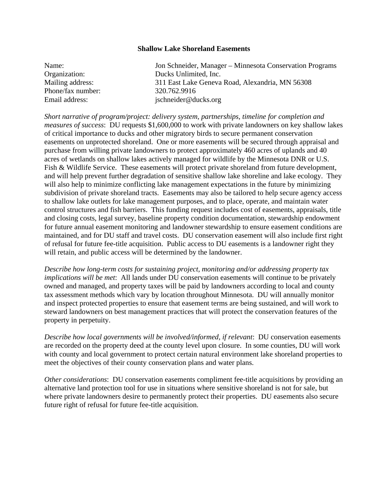#### **Shallow Lake Shoreland Easements**

| Name:             | Jon Schneider, Manager – Minnesota Conservation Programs |
|-------------------|----------------------------------------------------------|
| Organization:     | Ducks Unlimited, Inc.                                    |
| Mailing address:  | 311 East Lake Geneva Road, Alexandria, MN 56308          |
| Phone/fax number: | 320.762.9916                                             |
| Email address:    | jschneider@ducks.org                                     |

*Short narrative of program/project: delivery system, partnerships, timeline for completion and measures of success*: DU requests \$1,600,000 to work with private landowners on key shallow lakes of critical importance to ducks and other migratory birds to secure permanent conservation easements on unprotected shoreland. One or more easements will be secured through appraisal and purchase from willing private landowners to protect approximately 460 acres of uplands and 40 acres of wetlands on shallow lakes actively managed for wildlife by the Minnesota DNR or U.S. Fish & Wildlife Service. These easements will protect private shoreland from future development, and will help prevent further degradation of sensitive shallow lake shoreline and lake ecology. They will also help to minimize conflicting lake management expectations in the future by minimizing subdivision of private shoreland tracts. Easements may also be tailored to help secure agency access to shallow lake outlets for lake management purposes, and to place, operate, and maintain water control structures and fish barriers. This funding request includes cost of easements, appraisals, title and closing costs, legal survey, baseline property condition documentation, stewardship endowment for future annual easement monitoring and landowner stewardship to ensure easement conditions are maintained, and for DU staff and travel costs. DU conservation easement will also include first right of refusal for future fee-title acquisition. Public access to DU easements is a landowner right they will retain, and public access will be determined by the landowner.

*Describe how long-term costs for sustaining project, monitoring and/or addressing property tax implications will be met*: All lands under DU conservation easements will continue to be privately owned and managed, and property taxes will be paid by landowners according to local and county tax assessment methods which vary by location throughout Minnesota. DU will annually monitor and inspect protected properties to ensure that easement terms are being sustained, and will work to steward landowners on best management practices that will protect the conservation features of the property in perpetuity.

*Describe how local governments will be involved/informed, if relevant*: DU conservation easements are recorded on the property deed at the county level upon closure. In some counties, DU will work with county and local government to protect certain natural environment lake shoreland properties to meet the objectives of their county conservation plans and water plans.

*Other considerations*: DU conservation easements compliment fee-title acquisitions by providing an alternative land protection tool for use in situations where sensitive shoreland is not for sale, but where private landowners desire to permanently protect their properties. DU easements also secure future right of refusal for future fee-title acquisition.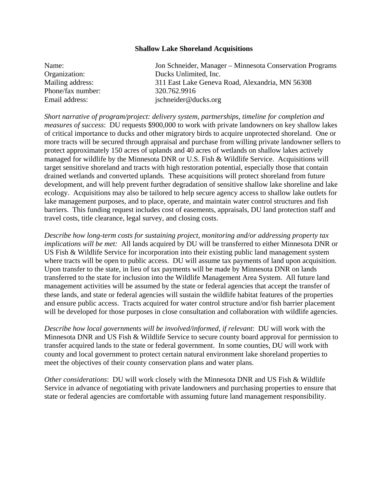#### **Shallow Lake Shoreland Acquisitions**

| Name:             | Jon Schneider, Manager – Minnesota Conservation Programs |
|-------------------|----------------------------------------------------------|
| Organization:     | Ducks Unlimited, Inc.                                    |
| Mailing address:  | 311 East Lake Geneva Road, Alexandria, MN 56308          |
| Phone/fax number: | 320.762.9916                                             |
| Email address:    | jschneider@ducks.org                                     |

*Short narrative of program/project: delivery system, partnerships, timeline for completion and measures of success*: DU requests \$900,000 to work with private landowners on key shallow lakes of critical importance to ducks and other migratory birds to acquire unprotected shoreland. One or more tracts will be secured through appraisal and purchase from willing private landowner sellers to protect approximately 150 acres of uplands and 40 acres of wetlands on shallow lakes actively managed for wildlife by the Minnesota DNR or U.S. Fish & Wildlife Service. Acquisitions will target sensitive shoreland and tracts with high restoration potential, especially those that contain drained wetlands and converted uplands. These acquisitions will protect shoreland from future development, and will help prevent further degradation of sensitive shallow lake shoreline and lake ecology. Acquisitions may also be tailored to help secure agency access to shallow lake outlets for lake management purposes, and to place, operate, and maintain water control structures and fish barriers. This funding request includes cost of easements, appraisals, DU land protection staff and travel costs, title clearance, legal survey, and closing costs.

*Describe how long-term costs for sustaining project, monitoring and/or addressing property tax implications will be met:* All lands acquired by DU will be transferred to either Minnesota DNR or US Fish & Wildlife Service for incorporation into their existing public land management system where tracts will be open to public access. DU will assume tax payments of land upon acquisition. Upon transfer to the state, in lieu of tax payments will be made by Minnesota DNR on lands transferred to the state for inclusion into the Wildlife Management Area System. All future land management activities will be assumed by the state or federal agencies that accept the transfer of these lands, and state or federal agencies will sustain the wildlife habitat features of the properties and ensure public access. Tracts acquired for water control structure and/or fish barrier placement will be developed for those purposes in close consultation and collaboration with wildlife agencies.

*Describe how local governments will be involved/informed, if relevant*: DU will work with the Minnesota DNR and US Fish & Wildlife Service to secure county board approval for permission to transfer acquired lands to the state or federal government. In some counties, DU will work with county and local government to protect certain natural environment lake shoreland properties to meet the objectives of their county conservation plans and water plans.

*Other considerations*: DU will work closely with the Minnesota DNR and US Fish & Wildlife Service in advance of negotiating with private landowners and purchasing properties to ensure that state or federal agencies are comfortable with assuming future land management responsibility.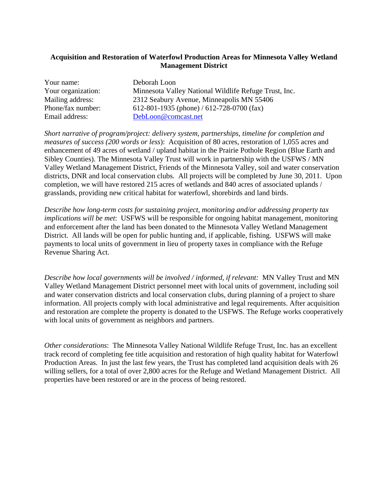#### **Acquisition and Restoration of Waterfowl Production Areas for Minnesota Valley Wetland Management District**

| Your name:         | Deborah Loon                                          |
|--------------------|-------------------------------------------------------|
| Your organization: | Minnesota Valley National Wildlife Refuge Trust, Inc. |
| Mailing address:   | 2312 Seabury Avenue, Minneapolis MN 55406             |
| Phone/fax number:  | 612-801-1935 (phone) / 612-728-0700 (fax)             |
| Email address:     | DebLoon@comcast.net                                   |

*Short narrative of program/project: delivery system, partnerships, timeline for completion and measures of success (200 words or less*): Acquisition of 80 acres, restoration of 1,055 acres and enhancement of 49 acres of wetland / upland habitat in the Prairie Pothole Region (Blue Earth and Sibley Counties). The Minnesota Valley Trust will work in partnership with the USFWS / MN Valley Wetland Management District, Friends of the Minnesota Valley, soil and water conservation districts, DNR and local conservation clubs. All projects will be completed by June 30, 2011. Upon completion, we will have restored 215 acres of wetlands and 840 acres of associated uplands / grasslands, providing new critical habitat for waterfowl, shorebirds and land birds.

*Describe how long-term costs for sustaining project, monitoring and/or addressing property tax implications will be met*: USFWS will be responsible for ongoing habitat management, monitoring and enforcement after the land has been donated to the Minnesota Valley Wetland Management District. All lands will be open for public hunting and, if applicable, fishing. USFWS will make payments to local units of government in lieu of property taxes in compliance with the Refuge Revenue Sharing Act.

*Describe how local governments will be involved / informed, if relevant:* MN Valley Trust and MN Valley Wetland Management District personnel meet with local units of government, including soil and water conservation districts and local conservation clubs, during planning of a project to share information. All projects comply with local administrative and legal requirements. After acquisition and restoration are complete the property is donated to the USFWS. The Refuge works cooperatively with local units of government as neighbors and partners.

*Other considerations*: The Minnesota Valley National Wildlife Refuge Trust, Inc. has an excellent track record of completing fee title acquisition and restoration of high quality habitat for Waterfowl Production Areas. In just the last few years, the Trust has completed land acquisition deals with 26 willing sellers, for a total of over 2,800 acres for the Refuge and Wetland Management District. All properties have been restored or are in the process of being restored.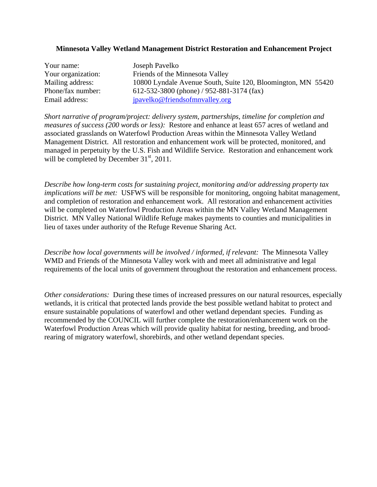#### **Minnesota Valley Wetland Management District Restoration and Enhancement Project**

| Your name:         |
|--------------------|
| Your organization: |
| Mailing address:   |
| Phone/fax number:  |
| Email address:     |

Joseph Pavelko Friends of the Minnesota Valley 10800 Lyndale Avenue South, Suite 120, Bloomington, MN 55420 612-532-3800 (phone) / 952-881-3174 (fax) jpavelko@friendsofmnvalley.org

*Short narrative of program/project: delivery system, partnerships, timeline for completion and measures of success (200 words or less):* Restore and enhance at least 657 acres of wetland and associated grasslands on Waterfowl Production Areas within the Minnesota Valley Wetland Management District. All restoration and enhancement work will be protected, monitored, and managed in perpetuity by the U.S. Fish and Wildlife Service. Restoration and enhancement work will be completed by December  $31<sup>st</sup>$ , 2011.

*Describe how long-term costs for sustaining project, monitoring and/or addressing property tax implications will be met:* USFWS will be responsible for monitoring, ongoing habitat management, and completion of restoration and enhancement work. All restoration and enhancement activities will be completed on Waterfowl Production Areas within the MN Valley Wetland Management District. MN Valley National Wildlife Refuge makes payments to counties and municipalities in lieu of taxes under authority of the Refuge Revenue Sharing Act.

*Describe how local governments will be involved / informed, if relevant:* The Minnesota Valley WMD and Friends of the Minnesota Valley work with and meet all administrative and legal requirements of the local units of government throughout the restoration and enhancement process.

*Other considerations:* During these times of increased pressures on our natural resources, especially wetlands, it is critical that protected lands provide the best possible wetland habitat to protect and ensure sustainable populations of waterfowl and other wetland dependant species. Funding as recommended by the COUNCIL will further complete the restoration/enhancement work on the Waterfowl Production Areas which will provide quality habitat for nesting, breeding, and broodrearing of migratory waterfowl, shorebirds, and other wetland dependant species.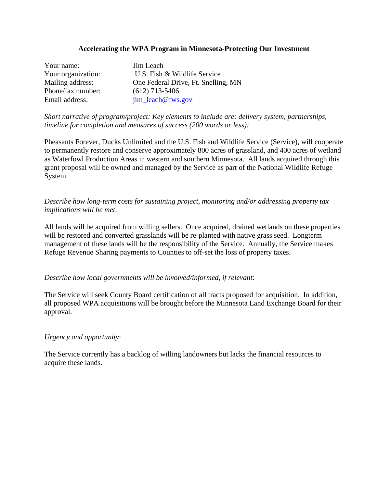#### **Accelerating the WPA Program in Minnesota-Protecting Our Investment**

| Your name:         | Jim Leach                           |
|--------------------|-------------------------------------|
| Your organization: | U.S. Fish & Wildlife Service        |
| Mailing address:   | One Federal Drive, Ft. Snelling, MN |
| Phone/fax number:  | $(612)$ 713-5406                    |
| Email address:     | jim_leach@fws.gov                   |

*Short narrative of program/project: Key elements to include are: delivery system, partnerships, timeline for completion and measures of success (200 words or less):* 

Pheasants Forever, Ducks Unlimited and the U.S. Fish and Wildlife Service (Service), will cooperate to permanently restore and conserve approximately 800 acres of grassland, and 400 acres of wetland as Waterfowl Production Areas in western and southern Minnesota. All lands acquired through this grant proposal will be owned and managed by the Service as part of the National Wildlife Refuge System.

#### *Describe how long-term costs for sustaining project, monitoring and/or addressing property tax implications will be met*:

All lands will be acquired from willing sellers. Once acquired, drained wetlands on these properties will be restored and converted grasslands will be re-planted with native grass seed. Longterm management of these lands will be the responsibility of the Service. Annually, the Service makes Refuge Revenue Sharing payments to Counties to off-set the loss of property taxes.

*Describe how local governments will be involved/informed, if relevant*:

The Service will seek County Board certification of all tracts proposed for acquisition. In addition, all proposed WPA acquisitions will be brought before the Minnesota Land Exchange Board for their approval.

#### *Urgency and opportunity*:

The Service currently has a backlog of willing landowners but lacks the financial resources to acquire these lands.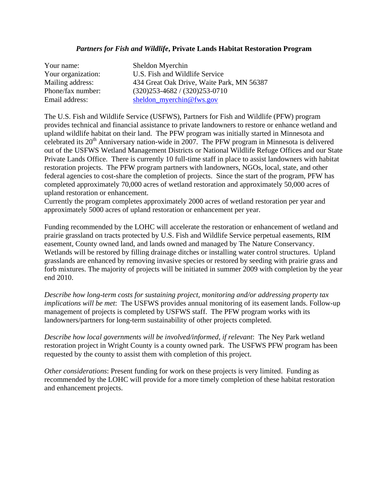#### *Partners for Fish and Wildlife***, Private Lands Habitat Restoration Program**

| Your name:         | Sheldon Myerchin                          |
|--------------------|-------------------------------------------|
| Your organization: | U.S. Fish and Wildlife Service            |
| Mailing address:   | 434 Great Oak Drive, Waite Park, MN 56387 |
| Phone/fax number:  | $(320)253 - 4682 / (320)253 - 0710$       |
| Email address:     | sheldon_myerchin@fws.gov                  |

The U.S. Fish and Wildlife Service (USFWS), Partners for Fish and Wildlife (PFW) program provides technical and financial assistance to private landowners to restore or enhance wetland and upland wildlife habitat on their land. The PFW program was initially started in Minnesota and celebrated its  $20<sup>th</sup>$  Anniversary nation-wide in 2007. The PFW program in Minnesota is delivered out of the USFWS Wetland Management Districts or National Wildlife Refuge Offices and our State Private Lands Office. There is currently 10 full-time staff in place to assist landowners with habitat restoration projects. The PFW program partners with landowners, NGOs, local, state, and other federal agencies to cost-share the completion of projects. Since the start of the program, PFW has completed approximately 70,000 acres of wetland restoration and approximately 50,000 acres of upland restoration or enhancement.

Currently the program completes approximately 2000 acres of wetland restoration per year and approximately 5000 acres of upland restoration or enhancement per year.

Funding recommended by the LOHC will accelerate the restoration or enhancement of wetland and prairie grassland on tracts protected by U.S. Fish and Wildlife Service perpetual easements, RIM easement, County owned land, and lands owned and managed by The Nature Conservancy. Wetlands will be restored by filling drainage ditches or installing water control structures. Upland grasslands are enhanced by removing invasive species or restored by seeding with prairie grass and forb mixtures. The majority of projects will be initiated in summer 2009 with completion by the year end 2010.

*Describe how long-term costs for sustaining project, monitoring and/or addressing property tax implications will be met*: The USFWS provides annual monitoring of its easement lands. Follow-up management of projects is completed by USFWS staff. The PFW program works with its landowners/partners for long-term sustainability of other projects completed.

*Describe how local governments will be involved/informed, if relevant*: The Ney Park wetland restoration project in Wright County is a county owned park. The USFWS PFW program has been requested by the county to assist them with completion of this project.

*Other considerations*: Present funding for work on these projects is very limited. Funding as recommended by the LOHC will provide for a more timely completion of these habitat restoration and enhancement projects.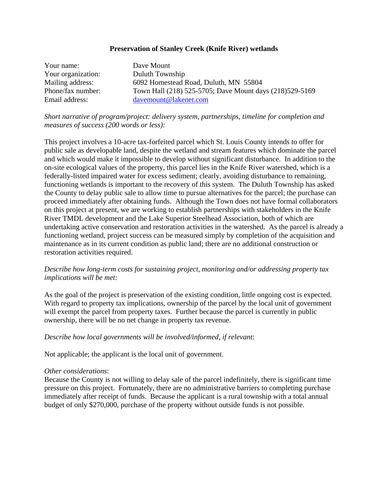#### **Preservation of Stanley Creek (Knife River) wetlands**

| Your name:         | Dave Mount                                               |
|--------------------|----------------------------------------------------------|
| Your organization: | Duluth Township                                          |
| Mailing address:   | 6092 Homestead Road, Duluth, MN 55804                    |
| Phone/fax number:  | Town Hall (218) 525-5705; Dave Mount days (218) 529-5169 |
| Email address:     | davemount@lakenet.com                                    |

#### *Short narrative of program/project: delivery system, partnerships, timeline for completion and measures of success (200 words or less):*

This project involves a 10-acre tax-forfeited parcel which St. Louis County intends to offer for public sale as developable land, despite the wetland and stream features which dominate the parcel and which would make it impossible to develop without significant disturbance. In addition to the on-site ecological values of the property, this parcel lies in the Knife River watershed, which is a federally-listed impaired water for excess sediment; clearly, avoiding disturbance to remaining, functioning wetlands is important to the recovery of this system. The Duluth Township has asked the County to delay public sale to allow time to pursue alternatives for the parcel; the purchase can proceed immediately after obtaining funds. Although the Town does not have formal collaborators on this project at present, we are working to establish partnerships with stakeholders in the Knife River TMDL development and the Lake Superior Steelhead Association, both of which are undertaking active conservation and restoration activities in the watershed. As the parcel is already a functioning wetland, project success can be measured simply by completion of the acquisition and maintenance as in its current condition as public land; there are no additional construction or restoration activities required.

#### *Describe how long-term costs for sustaining project, monitoring and/or addressing property tax implications will be met:*

As the goal of the project is preservation of the existing condition, little ongoing cost is expected. With regard to property tax implications, ownership of the parcel by the local unit of government will exempt the parcel from property taxes. Further because the parcel is currently in public ownership, there will be no net change in property tax revenue.

#### *Describe how local governments will be involved/informed, if relevant*:

Not applicable; the applicant is the local unit of government.

#### *Other considerations*:

Because the County is not willing to delay sale of the parcel indefinitely, there is significant time pressure on this project. Fortunately, there are no administrative barriers to completing purchase immediately after receipt of funds. Because the applicant is a rural township with a total annual budget of only \$270,000, purchase of the property without outside funds is not possible.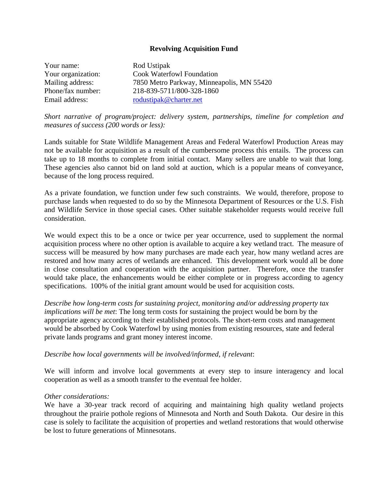#### **Revolving Acquisition Fund**

| Your name:         | Rod Ustipak                               |
|--------------------|-------------------------------------------|
| Your organization: | <b>Cook Waterfowl Foundation</b>          |
| Mailing address:   | 7850 Metro Parkway, Minneapolis, MN 55420 |
| Phone/fax number:  | 218-839-5711/800-328-1860                 |
| Email address:     | rodustipak@charter.net                    |

*Short narrative of program/project: delivery system, partnerships, timeline for completion and measures of success (200 words or less):* 

Lands suitable for State Wildlife Management Areas and Federal Waterfowl Production Areas may not be available for acquisition as a result of the cumbersome process this entails. The process can take up to 18 months to complete from initial contact. Many sellers are unable to wait that long. These agencies also cannot bid on land sold at auction, which is a popular means of conveyance, because of the long process required.

As a private foundation, we function under few such constraints. We would, therefore, propose to purchase lands when requested to do so by the Minnesota Department of Resources or the U.S. Fish and Wildlife Service in those special cases. Other suitable stakeholder requests would receive full consideration.

We would expect this to be a once or twice per year occurrence, used to supplement the normal acquisition process where no other option is available to acquire a key wetland tract. The measure of success will be measured by how many purchases are made each year, how many wetland acres are restored and how many acres of wetlands are enhanced. This development work would all be done in close consultation and cooperation with the acquisition partner. Therefore, once the transfer would take place, the enhancements would be either complete or in progress according to agency specifications. 100% of the initial grant amount would be used for acquisition costs.

*Describe how long-term costs for sustaining project, monitoring and/or addressing property tax implications will be met*: The long term costs for sustaining the project would be born by the appropriate agency according to their established protocols. The short-term costs and management would be absorbed by Cook Waterfowl by using monies from existing resources, state and federal private lands programs and grant money interest income.

#### *Describe how local governments will be involved/informed, if relevant*:

We will inform and involve local governments at every step to insure interagency and local cooperation as well as a smooth transfer to the eventual fee holder.

#### *Other considerations:*

We have a 30-year track record of acquiring and maintaining high quality wetland projects throughout the prairie pothole regions of Minnesota and North and South Dakota. Our desire in this case is solely to facilitate the acquisition of properties and wetland restorations that would otherwise be lost to future generations of Minnesotans.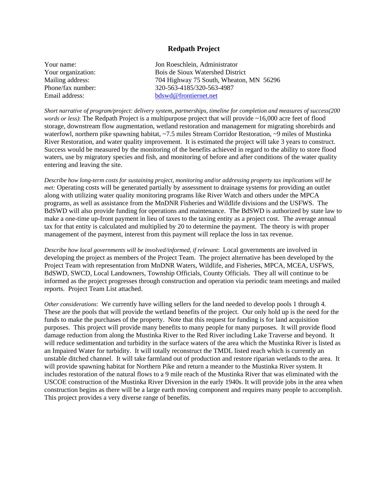#### **Redpath Project**

| Your name:         | Jon Roeschlein, Administrator           |
|--------------------|-----------------------------------------|
| Your organization: | Bois de Sioux Watershed District        |
| Mailing address:   | 704 Highway 75 South, Wheaton, MN 56296 |
| Phone/fax number:  | 320-563-4185/320-563-4987               |
| Email address:     | bdswd@frontiernet.net                   |

*Short narrative of program/project: delivery system, partnerships, timeline for completion and measures of success(200 words or less)*: The Redpath Project is a multipurpose project that will provide ~16,000 acre feet of flood storage, downstream flow augmentation, wetland restoration and management for migrating shorebirds and waterfowl, northern pike spawning habitat, ~7.5 miles Stream Corridor Restoration, ~9 miles of Mustinka River Restoration, and water quality improvement. It is estimated the project will take 3 years to construct. Success would be measured by the monitoring of the benefits achieved in regard to the ability to store flood waters, use by migratory species and fish, and monitoring of before and after conditions of the water quality entering and leaving the site.

*Describe how long-term costs for sustaining project, monitoring and/or addressing property tax implications will be met:* Operating costs will be generated partially by assessment to drainage systems for providing an outlet along with utilizing water quality monitoring programs like River Watch and others under the MPCA programs, as well as assistance from the MnDNR Fisheries and Wildlife divisions and the USFWS. The BdSWD will also provide funding for operations and maintenance. The BdSWD is authorized by state law to make a one-time up-front payment in lieu of taxes to the taxing entity as a project cost. The average annual tax for that entity is calculated and multiplied by 20 to determine the payment. The theory is with proper management of the payment, interest from this payment will replace the loss in tax revenue.

*Describe how local governments will be involved/informed, if relevant*: Local governments are involved in developing the project as members of the Project Team. The project alternative has been developed by the Project Team with representation from MnDNR Waters, Wildlife, and Fisheries, MPCA, MCEA, USFWS, BdSWD, SWCD, Local Landowners, Township Officials, County Officials. They all will continue to be informed as the project progresses through construction and operation via periodic team meetings and mailed reports. Project Team List attached.

*Other considerations*: We currently have willing sellers for the land needed to develop pools 1 through 4. These are the pools that will provide the wetland benefits of the project. Our only hold up is the need for the funds to make the purchases of the property. Note that this request for funding is for land acquisition purposes. This project will provide many benefits to many people for many purposes. It will provide flood damage reduction from along the Mustinka River to the Red River including Lake Traverse and beyond. It will reduce sedimentation and turbidity in the surface waters of the area which the Mustinka River is listed as an Impaired Water for turbidity. It will totally reconstruct the TMDL listed reach which is currently an unstable ditched channel. It will take farmland out of production and restore riparian wetlands to the area. It will provide spawning habitat for Northern Pike and return a meander to the Mustinka River system. It includes restoration of the natural flows to a 9 mile reach of the Mustinka River that was eliminated with the USCOE construction of the Mustinka River Diversion in the early 1940s. It will provide jobs in the area when construction begins as there will be a large earth moving component and requires many people to accomplish. This project provides a very diverse range of benefits.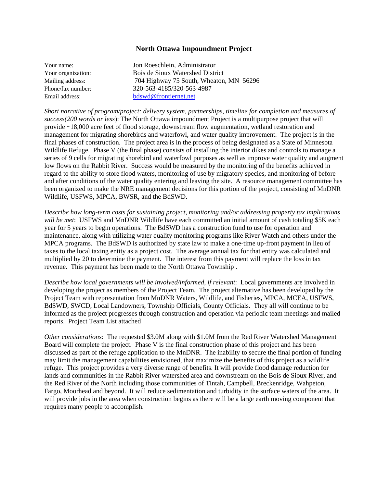#### **North Ottawa Impoundment Project**

| Your name:         | Jon Roeschlein, Administrator           |
|--------------------|-----------------------------------------|
| Your organization: | Bois de Sioux Watershed District        |
| Mailing address:   | 704 Highway 75 South, Wheaton, MN 56296 |
| Phone/fax number:  | 320-563-4185/320-563-4987               |
| Email address:     | bdswd@frontiernet.net                   |
|                    |                                         |

*Short narrative of program/project: delivery system, partnerships, timeline for completion and measures of success(200 words or less*): The North Ottawa impoundment Project is a multipurpose project that will provide ~18,000 acre feet of flood storage, downstream flow augmentation, wetland restoration and management for migrating shorebirds and waterfowl, and water quality improvement. The project is in the final phases of construction. The project area is in the process of being designated as a State of Minnesota Wildlife Refuge. Phase V (the final phase) consists of installing the interior dikes and controls to manage a series of 9 cells for migrating shorebird and waterfowl purposes as well as improve water quality and augment low flows on the Rabbit River. Success would be measured by the monitoring of the benefits achieved in regard to the ability to store flood waters, monitoring of use by migratory species, and monitoring of before and after conditions of the water quality entering and leaving the site. A resource management committee has been organized to make the NRE management decisions for this portion of the project, consisting of MnDNR Wildlife, USFWS, MPCA, BWSR, and the BdSWD.

*Describe how long-term costs for sustaining project, monitoring and/or addressing property tax implications will be met*: USFWS and MnDNR Wildlife have each committed an initial amount of cash totaling \$5K each year for 5 years to begin operations. The BdSWD has a construction fund to use for operation and maintenance, along with utilizing water quality monitoring programs like River Watch and others under the MPCA programs. The BdSWD is authorized by state law to make a one-time up-front payment in lieu of taxes to the local taxing entity as a project cost. The average annual tax for that entity was calculated and multiplied by 20 to determine the payment. The interest from this payment will replace the loss in tax revenue. This payment has been made to the North Ottawa Township .

*Describe how local governments will be involved/informed, if relevant*: Local governments are involved in developing the project as members of the Project Team. The project alternative has been developed by the Project Team with representation from MnDNR Waters, Wildlife, and Fisheries, MPCA, MCEA, USFWS, BdSWD, SWCD, Local Landowners, Township Officials, County Officials. They all will continue to be informed as the project progresses through construction and operation via periodic team meetings and mailed reports. Project Team List attached

*Other considerations*: The requested \$3.0M along with \$1.0M from the Red River Watershed Management Board will complete the project. Phase V is the final construction phase of this project and has been discussed as part of the refuge application to the MnDNR. The inability to secure the final portion of funding may limit the management capabilities envisioned, that maximize the benefits of this project as a wildlife refuge. This project provides a very diverse range of benefits. It will provide flood damage reduction for lands and communities in the Rabbit River watershed area and downstream on the Bois de Sioux River, and the Red River of the North including those communities of Tintah, Campbell, Breckenridge, Wahpeton, Fargo, Moorhead and beyond. It will reduce sedimentation and turbidity in the surface waters of the area. It will provide jobs in the area when construction begins as there will be a large earth moving component that requires many people to accomplish.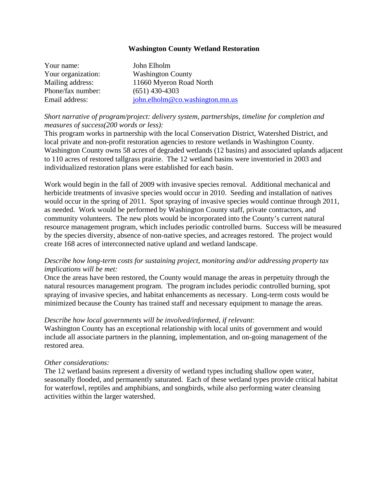#### **Washington County Wetland Restoration**

| Your name:         | John Elholm                     |
|--------------------|---------------------------------|
| Your organization: | <b>Washington County</b>        |
| Mailing address:   | 11660 Myeron Road North         |
| Phone/fax number:  | $(651)$ 430-4303                |
| Email address:     | john.elholm@co.washington.mn.us |

#### *Short narrative of program/project: delivery system, partnerships, timeline for completion and measures of success(200 words or less):*

This program works in partnership with the local Conservation District, Watershed District, and local private and non-profit restoration agencies to restore wetlands in Washington County. Washington County owns 58 acres of degraded wetlands (12 basins) and associated uplands adjacent to 110 acres of restored tallgrass prairie. The 12 wetland basins were inventoried in 2003 and individualized restoration plans were established for each basin.

Work would begin in the fall of 2009 with invasive species removal. Additional mechanical and herbicide treatments of invasive species would occur in 2010. Seeding and installation of natives would occur in the spring of 2011. Spot spraying of invasive species would continue through 2011, as needed. Work would be performed by Washington County staff, private contractors, and community volunteers. The new plots would be incorporated into the County's current natural resource management program, which includes periodic controlled burns. Success will be measured by the species diversity, absence of non-native species, and acreages restored. The project would create 168 acres of interconnected native upland and wetland landscape.

#### *Describe how long-term costs for sustaining project, monitoring and/or addressing property tax implications will be met:*

Once the areas have been restored, the County would manage the areas in perpetuity through the natural resources management program. The program includes periodic controlled burning, spot spraying of invasive species, and habitat enhancements as necessary. Long-term costs would be minimized because the County has trained staff and necessary equipment to manage the areas.

#### *Describe how local governments will be involved/informed, if relevant*:

Washington County has an exceptional relationship with local units of government and would include all associate partners in the planning, implementation, and on-going management of the restored area.

#### *Other considerations:*

The 12 wetland basins represent a diversity of wetland types including shallow open water, seasonally flooded, and permanently saturated. Each of these wetland types provide critical habitat for waterfowl, reptiles and amphibians, and songbirds, while also performing water cleansing activities within the larger watershed.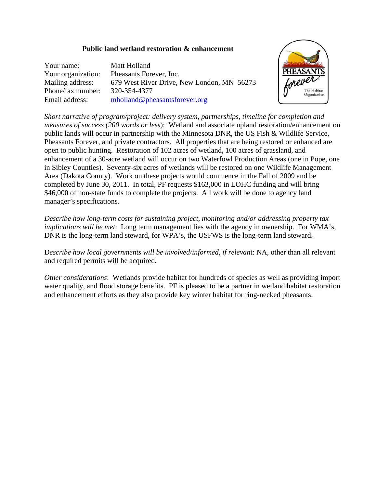#### **Public land wetland restoration & enhancement**

| Your name:         | Matt Holland                               |
|--------------------|--------------------------------------------|
| Your organization: | Pheasants Forever, Inc.                    |
| Mailing address:   | 679 West River Drive, New London, MN 56273 |
| Phone/fax number:  | 320-354-4377                               |
| Email address:     | $m$ holland@pheasantsforever.org           |



*Short narrative of program/project: delivery system, partnerships, timeline for completion and measures of success (200 words or less*): Wetland and associate upland restoration/enhancement on public lands will occur in partnership with the Minnesota DNR, the US Fish & Wildlife Service, Pheasants Forever, and private contractors. All properties that are being restored or enhanced are open to public hunting. Restoration of 102 acres of wetland, 100 acres of grassland, and enhancement of a 30-acre wetland will occur on two Waterfowl Production Areas (one in Pope, one in Sibley Counties). Seventy-six acres of wetlands will be restored on one Wildlife Management Area (Dakota County). Work on these projects would commence in the Fall of 2009 and be completed by June 30, 2011. In total, PF requests \$163,000 in LOHC funding and will bring \$46,000 of non-state funds to complete the projects. All work will be done to agency land manager's specifications.

*Describe how long-term costs for sustaining project, monitoring and/or addressing property tax implications will be met*: Long term management lies with the agency in ownership. For WMA's, DNR is the long-term land steward, for WPA's, the USFWS is the long-term land steward.

D*escribe how local governments will be involved/informed, if relevan*t: NA, other than all relevant and required permits will be acquired.

*Other considerations*: Wetlands provide habitat for hundreds of species as well as providing import water quality, and flood storage benefits. PF is pleased to be a partner in wetland habitat restoration and enhancement efforts as they also provide key winter habitat for ring-necked pheasants.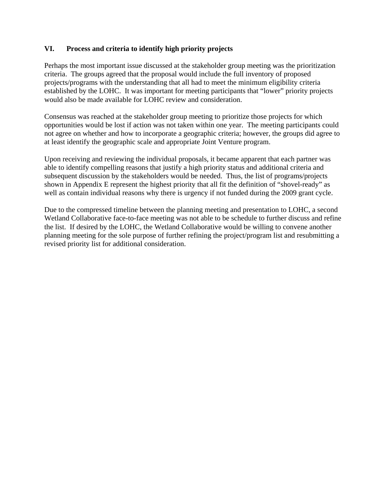#### **VI. Process and criteria to identify high priority projects**

Perhaps the most important issue discussed at the stakeholder group meeting was the prioritization criteria. The groups agreed that the proposal would include the full inventory of proposed projects/programs with the understanding that all had to meet the minimum eligibility criteria established by the LOHC. It was important for meeting participants that "lower" priority projects would also be made available for LOHC review and consideration.

Consensus was reached at the stakeholder group meeting to prioritize those projects for which opportunities would be lost if action was not taken within one year. The meeting participants could not agree on whether and how to incorporate a geographic criteria; however, the groups did agree to at least identify the geographic scale and appropriate Joint Venture program.

Upon receiving and reviewing the individual proposals, it became apparent that each partner was able to identify compelling reasons that justify a high priority status and additional criteria and subsequent discussion by the stakeholders would be needed. Thus, the list of programs/projects shown in Appendix E represent the highest priority that all fit the definition of "shovel-ready" as well as contain individual reasons why there is urgency if not funded during the 2009 grant cycle.

Due to the compressed timeline between the planning meeting and presentation to LOHC, a second Wetland Collaborative face-to-face meeting was not able to be schedule to further discuss and refine the list. If desired by the LOHC, the Wetland Collaborative would be willing to convene another planning meeting for the sole purpose of further refining the project/program list and resubmitting a revised priority list for additional consideration.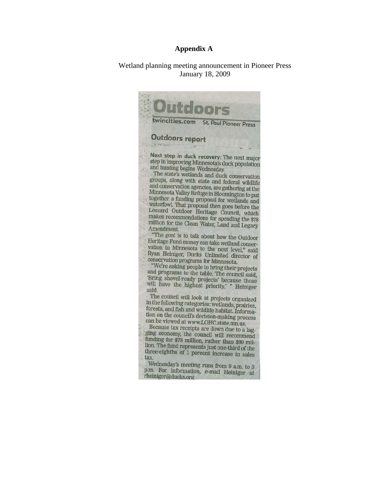#### **Appendix A**

Wetland planning meeting announcement in Pioneer Press January 18, 2009

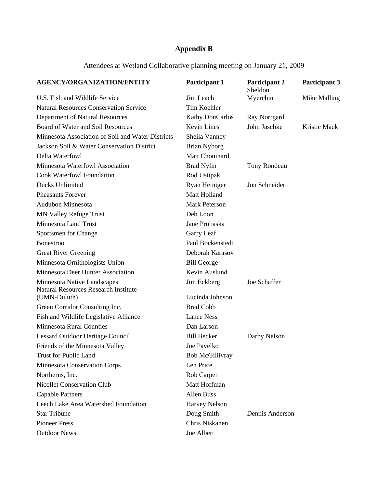### **Appendix B**

Attendees at Wetland Collaborative planning meeting on January 21, 2009

| <b>AGENCY/ORGANIZATION/ENTITY</b>                 | Participant 1          | Participant 2<br>Sheldon | <b>Participant 3</b> |  |
|---------------------------------------------------|------------------------|--------------------------|----------------------|--|
| U.S. Fish and Wildlife Service                    | Jim Leach              | Myerchin                 | Mike Malling         |  |
| <b>Natural Resources Conservation Service</b>     | Tim Koehler            |                          |                      |  |
| Department of Natural Resources                   | Kathy DonCarlos        | Ray Norrgard             |                      |  |
| Board of Water and Soil Resources                 | <b>Kevin Lines</b>     | John Jaschke             | Kristie Mack         |  |
| Minnesota Association of Soil and Water Districts | Sheila Vanney          |                          |                      |  |
| Jackson Soil & Water Conservation District        | <b>Brian Nyborg</b>    |                          |                      |  |
| Delta Waterfowl                                   | Matt Chouinard         |                          |                      |  |
| Minnesota Waterfowl Association                   | <b>Brad Nylin</b>      | Tony Rondeau             |                      |  |
| <b>Cook Waterfowl Foundation</b>                  | Rod Ustipak            |                          |                      |  |
| Ducks Unlimited                                   | Ryan Heiniger          | Jon Schneider            |                      |  |
| <b>Pheasants Forever</b>                          | Matt Holland           |                          |                      |  |
| Audubon Minnesota                                 | <b>Mark Peterson</b>   |                          |                      |  |
| <b>MN Valley Refuge Trust</b>                     | Deb Loon               |                          |                      |  |
| <b>Minnesota Land Trust</b>                       | Jane Prohaska          |                          |                      |  |
| Sportsmen for Change                              | Garry Leaf             |                          |                      |  |
| Bonestroo                                         | Paul Bockenstedt       |                          |                      |  |
| <b>Great River Greening</b>                       | Deborah Karasov        |                          |                      |  |
| Minnesota Ornithologists Union                    | <b>Bill George</b>     |                          |                      |  |
| Minnesota Deer Hunter Association                 | Kevin Auslund          |                          |                      |  |
| Minnesota Native Landscapes                       | Jim Eckberg            | Joe Schaffer             |                      |  |
| <b>Natural Resources Research Institute</b>       |                        |                          |                      |  |
| (UMN-Duluth)                                      | Lucinda Johnson        |                          |                      |  |
| Green Corridor Consulting Inc.                    | <b>Brad Cobb</b>       |                          |                      |  |
| Fish and Wildlife Legislative Alliance            | <b>Lance Ness</b>      |                          |                      |  |
| <b>Minnesota Rural Counties</b>                   | Dan Larson             |                          |                      |  |
| Lessard Outdoor Heritage Council                  | <b>Bill Becker</b>     | Darby Nelson             |                      |  |
| Friends of the Minnesota Valley                   | Joe Pavelko            |                          |                      |  |
| <b>Trust for Public Land</b>                      | <b>Bob McGillivray</b> |                          |                      |  |
| <b>Minnesota Conservation Corps</b>               | Len Price              |                          |                      |  |
| Northerns, Inc.                                   | Rob Carper             |                          |                      |  |
| <b>Nicollet Conservation Club</b>                 | Matt Hoffman           |                          |                      |  |
| <b>Capable Partners</b>                           | <b>Allen Buss</b>      |                          |                      |  |
| Leech Lake Area Watershed Foundation              | <b>Harvey Nelson</b>   |                          |                      |  |
| <b>Star Tribune</b>                               | Doug Smith             | Dennis Anderson          |                      |  |
| <b>Pioneer Press</b>                              | Chris Niskanen         |                          |                      |  |
| <b>Outdoor News</b>                               | Joe Albert             |                          |                      |  |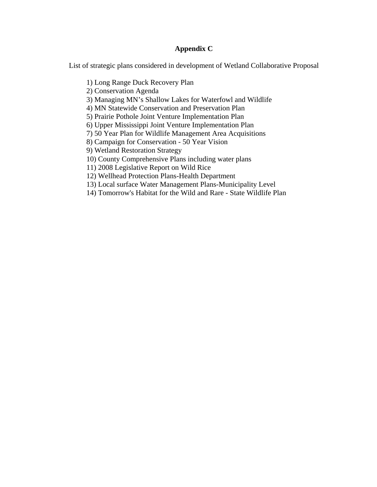#### **Appendix C**

List of strategic plans considered in development of Wetland Collaborative Proposal

- 1) Long Range Duck Recovery Plan
- 2) Conservation Agenda
- 3) Managing MN's Shallow Lakes for Waterfowl and Wildlife
- 4) MN Statewide Conservation and Preservation Plan
- 5) Prairie Pothole Joint Venture Implementation Plan
- 6) Upper Mississippi Joint Venture Implementation Plan
- 7) 50 Year Plan for Wildlife Management Area Acquisitions
- 8) Campaign for Conservation 50 Year Vision
- 9) Wetland Restoration Strategy
- 10) County Comprehensive Plans including water plans
- 11) 2008 Legislative Report on Wild Rice
- 12) Wellhead Protection Plans-Health Department
- 13) Local surface Water Management Plans-Municipality Level
- 14) Tomorrow's Habitat for the Wild and Rare State Wildlife Plan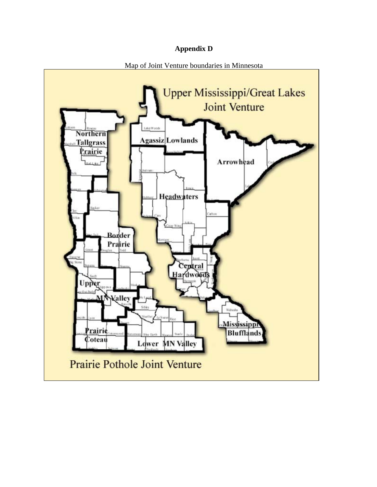#### **Appendix D**

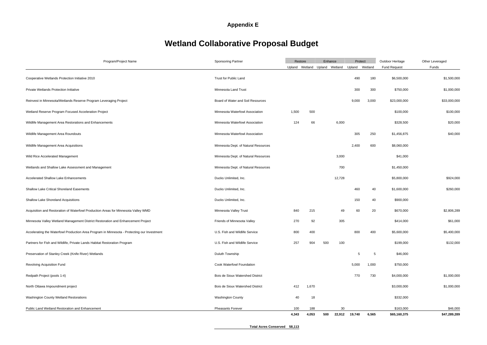## **Appendix E**

# **Wetland Collaborative Proposal Budget**

| Program/Project Name                                                                        | <b>Sponsoring Partner</b>            |       | Restore<br>Enhance               |     |        | Protect        |       | Outdoor Heritage<br><b>Fund Request</b> | Other Leveraged<br>Funds |
|---------------------------------------------------------------------------------------------|--------------------------------------|-------|----------------------------------|-----|--------|----------------|-------|-----------------------------------------|--------------------------|
|                                                                                             |                                      |       | Upland Wetland<br>Upland Wetland |     |        | Upland Wetland |       |                                         |                          |
|                                                                                             |                                      |       |                                  |     |        |                |       |                                         |                          |
| Cooperative Wetlands Protection Initiative 2010                                             | Trust for Public Land                |       |                                  |     |        | 490            | 180   | \$6,500,000                             | \$1,500,000              |
| Private Wetlands Protection Initiative                                                      | Minnesota Land Trust                 |       |                                  |     |        | 300            | 300   | \$750,000                               | \$1,000,000              |
| Reinvest in Minnesota/Wetlands Reserve Program Leveraging Project                           | Board of Water and Soil Resources    |       |                                  |     |        | 9,000          | 3,000 | \$23,000,000                            | \$33,000,000             |
| Wetland Reserve Program Focused Acceleration Project                                        | Minnesota Waterfowl Association      | 1,500 | 500                              |     |        |                |       | \$100,000                               | \$100,000                |
| Wildlife Management Area Restorations and Enhancements                                      | Minnesota Waterfowl Association      | 124   | 66                               |     | 6,000  |                |       | \$328,500                               | \$20,000                 |
| Wildlife Management Area Roundouts                                                          | Minnesota Waterfowl Association      |       |                                  |     |        | 305            | 250   | \$1,456,875                             | \$40,000                 |
| Wildlife Management Area Acquisitions                                                       | Minnesota Dept. of Natural Resources |       |                                  |     |        | 2,400          | 600   | \$8,060,000                             |                          |
| Wild Rice Accelerated Management                                                            | Minnesota Dept. of Natural Resources |       |                                  |     | 3,000  |                |       | \$41,000                                |                          |
| Wetlands and Shallow Lake Assessment and Management                                         | Minnesota Dept. of Natural Resources |       |                                  |     | 700    |                |       | \$1,450,000                             |                          |
| <b>Accelerated Shallow Lake Enhancements</b>                                                | Ducks Unlimited, Inc.                |       |                                  |     | 12,728 |                |       | \$5,800,000                             | \$924,000                |
| <b>Shallow Lake Critical Shoreland Easements</b>                                            | Ducks Unlimited, Inc.                |       |                                  |     |        | 460            | 40    | \$1,600,000                             | \$260,000                |
| Shallow Lake Shoreland Acquisitions                                                         | Ducks Unlimited, Inc.                |       |                                  |     |        | 150            | 40    | \$900,000                               |                          |
| Acquisition and Restoration of Waterfowl Production Areas for Minnesota Valley WMD          | Minnesota Valley Trust               | 840   | 215                              |     | 49     | 60             | 20    | \$670,000                               | \$2,806,289              |
| Minnesota Valley Wetland Management District Restoration and Enhancement Project            | Friends of Minnesota Valley          | 270   | 92                               |     | 305    |                |       | \$414,000                               | \$61,000                 |
| Accelerating the Waterfowl Production Area Program in Minnesota - Protecting our Investment | U.S. Fish and Wildlife Service       | 800   | 400                              |     |        | 800            | 400   | \$5,600,000                             | \$5,400,000              |
| Partners for Fish and Wildlife, Private Lands Habitat Restoration Program                   | U.S. Fish and Wildlife Service       | 257   | 904                              | 500 | 100    |                |       | \$199,000                               | \$132,000                |
| Preservation of Stanley Creek (Knife River) Wetlands                                        | Duluth Township                      |       |                                  |     |        | 5              | 5     | \$46,000                                |                          |
| Revolving Acquisition Fund                                                                  | Cook Waterfowl Foundation            |       |                                  |     |        | 5,000          | 1,000 | \$750,000                               |                          |
| Redpath Project (pools 1-4)                                                                 | Bois de Sioux Watershed District     |       |                                  |     |        | 770            | 730   | \$4,000,000                             | \$1,000,000              |
| North Ottawa Impoundment project                                                            | Bois de Sioux Watershed District     | 412   | 1,670                            |     |        |                |       | \$3,000,000                             | \$1,000,000              |
| Washington County Wetland Restorations                                                      | Washington County                    | 40    | 18                               |     |        |                |       | \$332,000                               |                          |
| Public Land Wetland Restoration and Enhancement                                             | <b>Pheasants Forever</b>             | 100   | 188                              |     | 30     |                |       | \$163,000                               | \$46,000                 |
|                                                                                             |                                      | 4,343 | 4,053                            | 500 | 22,912 | 19,740         | 6,565 | \$65,160,375                            | \$47,289,289             |

**Total Acres Conserved 58,113**